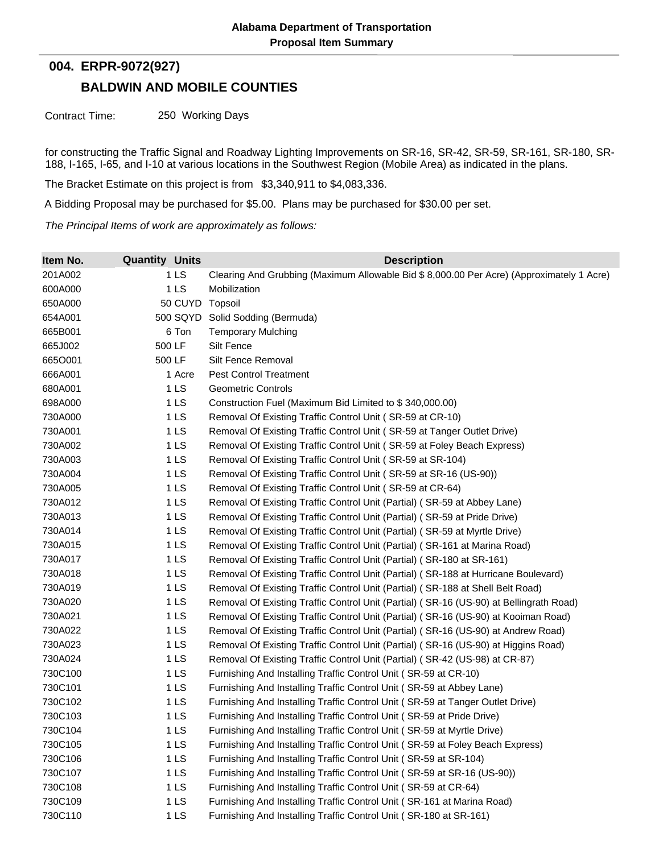## **004. ERPR-9072(927)**

## **BALDWIN AND MOBILE COUNTIES**

Contract Time: 250 Working Days

for constructing the Traffic Signal and Roadway Lighting Improvements on SR-16, SR-42, SR-59, SR-161, SR-180, SR-188, I-165, I-65, and I-10 at various locations in the Southwest Region (Mobile Area) as indicated in the plans.

The Bracket Estimate on this project is from \$3,340,911 to \$4,083,336.

A Bidding Proposal may be purchased for \$5.00. Plans may be purchased for \$30.00 per set.

*The Principal Items of work are approximately as follows:*

| Item No. | <b>Quantity Units</b> | <b>Description</b>                                                                        |
|----------|-----------------------|-------------------------------------------------------------------------------------------|
| 201A002  | 1 <sub>LS</sub>       | Clearing And Grubbing (Maximum Allowable Bid \$ 8,000.00 Per Acre) (Approximately 1 Acre) |
| 600A000  | 1 <sub>LS</sub>       | Mobilization                                                                              |
| 650A000  | 50 CUYD               | Topsoil                                                                                   |
| 654A001  |                       | 500 SQYD Solid Sodding (Bermuda)                                                          |
| 665B001  | 6 Ton                 | <b>Temporary Mulching</b>                                                                 |
| 665J002  | 500 LF                | <b>Silt Fence</b>                                                                         |
| 6650001  | 500 LF                | Silt Fence Removal                                                                        |
| 666A001  | 1 Acre                | <b>Pest Control Treatment</b>                                                             |
| 680A001  | 1 <sub>LS</sub>       | <b>Geometric Controls</b>                                                                 |
| 698A000  | 1 <sub>LS</sub>       | Construction Fuel (Maximum Bid Limited to \$340,000.00)                                   |
| 730A000  | 1 <sub>LS</sub>       | Removal Of Existing Traffic Control Unit (SR-59 at CR-10)                                 |
| 730A001  | 1 <sub>LS</sub>       | Removal Of Existing Traffic Control Unit (SR-59 at Tanger Outlet Drive)                   |
| 730A002  | 1 <sub>LS</sub>       | Removal Of Existing Traffic Control Unit (SR-59 at Foley Beach Express)                   |
| 730A003  | 1 <sub>LS</sub>       | Removal Of Existing Traffic Control Unit (SR-59 at SR-104)                                |
| 730A004  | 1 <sub>LS</sub>       | Removal Of Existing Traffic Control Unit (SR-59 at SR-16 (US-90))                         |
| 730A005  | 1 LS                  | Removal Of Existing Traffic Control Unit (SR-59 at CR-64)                                 |
| 730A012  | 1 <sub>LS</sub>       | Removal Of Existing Traffic Control Unit (Partial) (SR-59 at Abbey Lane)                  |
| 730A013  | 1 <sub>LS</sub>       | Removal Of Existing Traffic Control Unit (Partial) (SR-59 at Pride Drive)                 |
| 730A014  | 1 <sub>LS</sub>       | Removal Of Existing Traffic Control Unit (Partial) (SR-59 at Myrtle Drive)                |
| 730A015  | 1 <sub>LS</sub>       | Removal Of Existing Traffic Control Unit (Partial) (SR-161 at Marina Road)                |
| 730A017  | 1 <sub>LS</sub>       | Removal Of Existing Traffic Control Unit (Partial) (SR-180 at SR-161)                     |
| 730A018  | 1 LS                  | Removal Of Existing Traffic Control Unit (Partial) (SR-188 at Hurricane Boulevard)        |
| 730A019  | 1 LS                  | Removal Of Existing Traffic Control Unit (Partial) (SR-188 at Shell Belt Road)            |
| 730A020  | 1 <sub>LS</sub>       | Removal Of Existing Traffic Control Unit (Partial) (SR-16 (US-90) at Bellingrath Road)    |
| 730A021  | 1 LS                  | Removal Of Existing Traffic Control Unit (Partial) (SR-16 (US-90) at Kooiman Road)        |
| 730A022  | 1 <sub>LS</sub>       | Removal Of Existing Traffic Control Unit (Partial) (SR-16 (US-90) at Andrew Road)         |
| 730A023  | 1 LS                  | Removal Of Existing Traffic Control Unit (Partial) (SR-16 (US-90) at Higgins Road)        |
| 730A024  | 1 LS                  | Removal Of Existing Traffic Control Unit (Partial) (SR-42 (US-98) at CR-87)               |
| 730C100  | 1 <sub>LS</sub>       | Furnishing And Installing Traffic Control Unit (SR-59 at CR-10)                           |
| 730C101  | 1 <sub>LS</sub>       | Furnishing And Installing Traffic Control Unit (SR-59 at Abbey Lane)                      |
| 730C102  | 1 <sub>LS</sub>       | Furnishing And Installing Traffic Control Unit (SR-59 at Tanger Outlet Drive)             |
| 730C103  | 1 LS                  | Furnishing And Installing Traffic Control Unit (SR-59 at Pride Drive)                     |
| 730C104  | 1 <sub>LS</sub>       | Furnishing And Installing Traffic Control Unit (SR-59 at Myrtle Drive)                    |
| 730C105  | 1 <sub>LS</sub>       | Furnishing And Installing Traffic Control Unit (SR-59 at Foley Beach Express)             |
| 730C106  | 1 <sub>LS</sub>       | Furnishing And Installing Traffic Control Unit (SR-59 at SR-104)                          |
| 730C107  | 1 <sub>LS</sub>       | Furnishing And Installing Traffic Control Unit (SR-59 at SR-16 (US-90))                   |
| 730C108  | 1 <sub>LS</sub>       | Furnishing And Installing Traffic Control Unit (SR-59 at CR-64)                           |
| 730C109  | 1 <sub>LS</sub>       | Furnishing And Installing Traffic Control Unit (SR-161 at Marina Road)                    |
| 730C110  | 1 <sub>LS</sub>       | Furnishing And Installing Traffic Control Unit (SR-180 at SR-161)                         |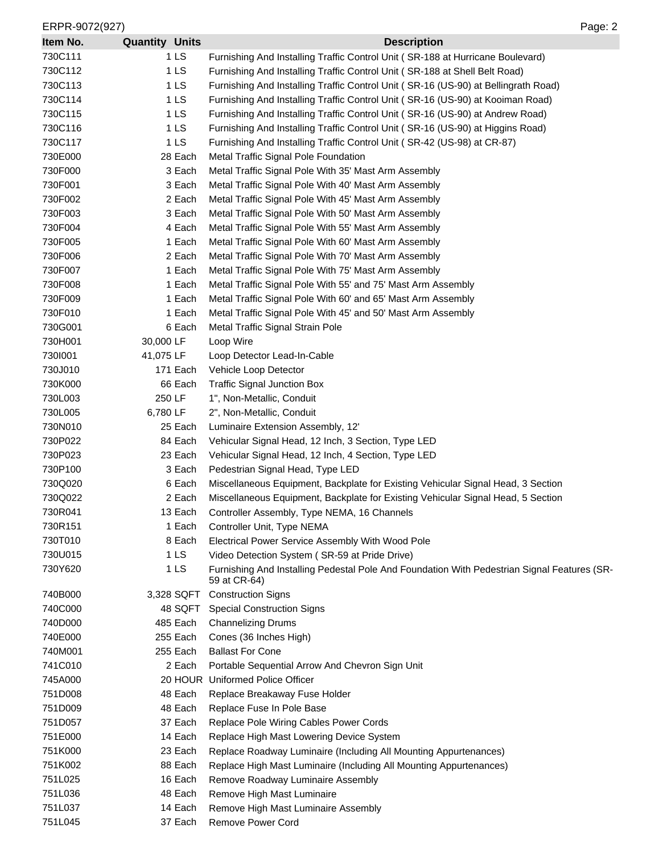| ERPR-9072(927)<br>Page: 2 |                       |                                                                                                             |  |  |
|---------------------------|-----------------------|-------------------------------------------------------------------------------------------------------------|--|--|
| Item No.                  | <b>Quantity Units</b> | <b>Description</b>                                                                                          |  |  |
| 730C111                   | 1 <sub>LS</sub>       | Furnishing And Installing Traffic Control Unit (SR-188 at Hurricane Boulevard)                              |  |  |
| 730C112                   | 1 <sub>LS</sub>       | Furnishing And Installing Traffic Control Unit (SR-188 at Shell Belt Road)                                  |  |  |
| 730C113                   | 1 LS                  | Furnishing And Installing Traffic Control Unit (SR-16 (US-90) at Bellingrath Road)                          |  |  |
| 730C114                   | 1 LS                  | Furnishing And Installing Traffic Control Unit (SR-16 (US-90) at Kooiman Road)                              |  |  |
| 730C115                   | 1 LS                  | Furnishing And Installing Traffic Control Unit (SR-16 (US-90) at Andrew Road)                               |  |  |
| 730C116                   | 1 <sub>LS</sub>       | Furnishing And Installing Traffic Control Unit (SR-16 (US-90) at Higgins Road)                              |  |  |
| 730C117                   | 1 <sub>LS</sub>       | Furnishing And Installing Traffic Control Unit (SR-42 (US-98) at CR-87)                                     |  |  |
| 730E000                   | 28 Each               | Metal Traffic Signal Pole Foundation                                                                        |  |  |
| 730F000                   | 3 Each                | Metal Traffic Signal Pole With 35' Mast Arm Assembly                                                        |  |  |
| 730F001                   | 3 Each                | Metal Traffic Signal Pole With 40' Mast Arm Assembly                                                        |  |  |
| 730F002                   | 2 Each                | Metal Traffic Signal Pole With 45' Mast Arm Assembly                                                        |  |  |
| 730F003                   | 3 Each                | Metal Traffic Signal Pole With 50' Mast Arm Assembly                                                        |  |  |
| 730F004                   | 4 Each                | Metal Traffic Signal Pole With 55' Mast Arm Assembly                                                        |  |  |
| 730F005                   | 1 Each                | Metal Traffic Signal Pole With 60' Mast Arm Assembly                                                        |  |  |
| 730F006                   | 2 Each                | Metal Traffic Signal Pole With 70' Mast Arm Assembly                                                        |  |  |
| 730F007                   | 1 Each                | Metal Traffic Signal Pole With 75' Mast Arm Assembly                                                        |  |  |
| 730F008                   | 1 Each                | Metal Traffic Signal Pole With 55' and 75' Mast Arm Assembly                                                |  |  |
| 730F009                   | 1 Each                | Metal Traffic Signal Pole With 60' and 65' Mast Arm Assembly                                                |  |  |
| 730F010                   | 1 Each                | Metal Traffic Signal Pole With 45' and 50' Mast Arm Assembly                                                |  |  |
| 730G001                   | 6 Each                | Metal Traffic Signal Strain Pole                                                                            |  |  |
| 730H001                   | 30,000 LF             | Loop Wire                                                                                                   |  |  |
| 7301001                   | 41,075 LF             | Loop Detector Lead-In-Cable                                                                                 |  |  |
| 730J010                   | 171 Each              | Vehicle Loop Detector                                                                                       |  |  |
| 730K000                   | 66 Each               | <b>Traffic Signal Junction Box</b>                                                                          |  |  |
| 730L003                   | 250 LF                | 1", Non-Metallic, Conduit                                                                                   |  |  |
| 730L005                   | 6,780 LF              | 2", Non-Metallic, Conduit                                                                                   |  |  |
| 730N010                   | 25 Each               | Luminaire Extension Assembly, 12'                                                                           |  |  |
| 730P022                   | 84 Each               | Vehicular Signal Head, 12 Inch, 3 Section, Type LED                                                         |  |  |
| 730P023                   | 23 Each               | Vehicular Signal Head, 12 Inch, 4 Section, Type LED                                                         |  |  |
| 730P100                   | 3 Each                | Pedestrian Signal Head, Type LED                                                                            |  |  |
| 730Q020                   | 6 Each                | Miscellaneous Equipment, Backplate for Existing Vehicular Signal Head, 3 Section                            |  |  |
| 730Q022                   | 2 Each                | Miscellaneous Equipment, Backplate for Existing Vehicular Signal Head, 5 Section                            |  |  |
| 730R041                   | 13 Each               | Controller Assembly, Type NEMA, 16 Channels                                                                 |  |  |
| 730R151                   | 1 Each                | Controller Unit, Type NEMA                                                                                  |  |  |
| 730T010                   | 8 Each                | Electrical Power Service Assembly With Wood Pole                                                            |  |  |
| 730U015                   | 1 <sub>LS</sub>       | Video Detection System (SR-59 at Pride Drive)                                                               |  |  |
| 730Y620                   | 1 LS                  | Furnishing And Installing Pedestal Pole And Foundation With Pedestrian Signal Features (SR-<br>59 at CR-64) |  |  |
| 740B000                   | 3,328 SQFT            | <b>Construction Signs</b>                                                                                   |  |  |
| 740C000                   | 48 SQFT               | <b>Special Construction Signs</b>                                                                           |  |  |
| 740D000                   | 485 Each              | <b>Channelizing Drums</b>                                                                                   |  |  |
| 740E000                   | 255 Each              | Cones (36 Inches High)                                                                                      |  |  |
| 740M001                   | 255 Each              | <b>Ballast For Cone</b>                                                                                     |  |  |
| 741C010                   | 2 Each                | Portable Sequential Arrow And Chevron Sign Unit                                                             |  |  |
| 745A000                   |                       | 20 HOUR Uniformed Police Officer                                                                            |  |  |
| 751D008                   | 48 Each               | Replace Breakaway Fuse Holder                                                                               |  |  |
| 751D009                   | 48 Each               | Replace Fuse In Pole Base                                                                                   |  |  |
| 751D057                   | 37 Each               | Replace Pole Wiring Cables Power Cords                                                                      |  |  |
| 751E000                   | 14 Each               | Replace High Mast Lowering Device System                                                                    |  |  |
| 751K000<br>751K002        | 23 Each<br>88 Each    | Replace Roadway Luminaire (Including All Mounting Appurtenances)                                            |  |  |
|                           |                       | Replace High Mast Luminaire (Including All Mounting Appurtenances)                                          |  |  |
| 751L025<br>751L036        | 16 Each<br>48 Each    | Remove Roadway Luminaire Assembly<br>Remove High Mast Luminaire                                             |  |  |
| 751L037                   | 14 Each               | Remove High Mast Luminaire Assembly                                                                         |  |  |
| 751L045                   | 37 Each               | Remove Power Cord                                                                                           |  |  |
|                           |                       |                                                                                                             |  |  |